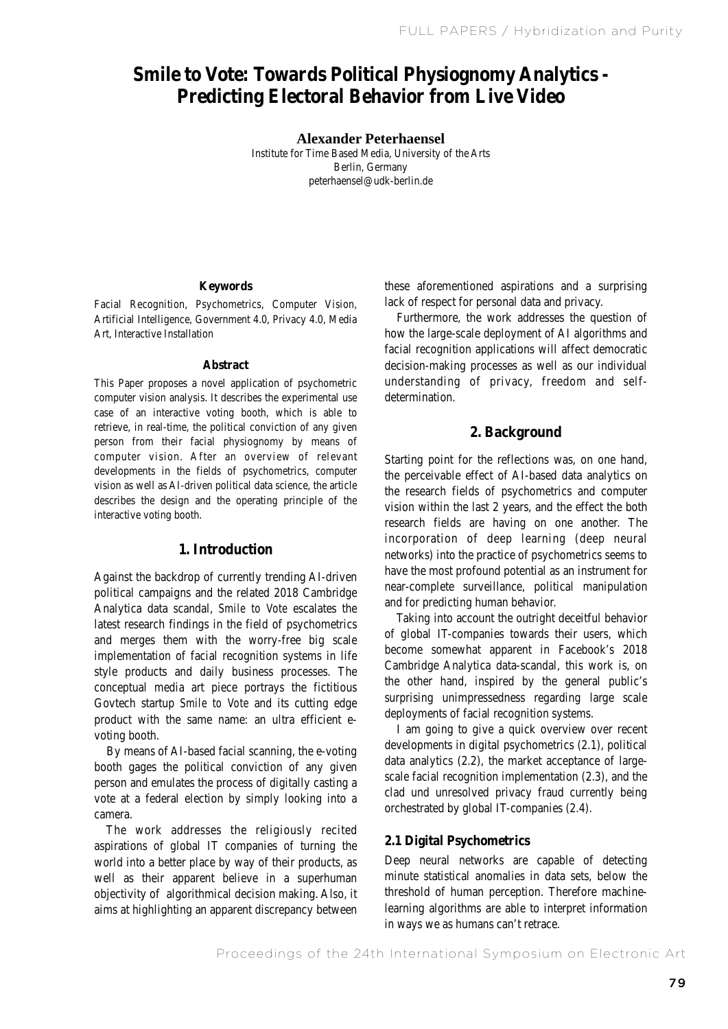# **Smile to Vote: Towards Political Physiognomy Analytics - Predicting Electoral Behavior from Live Video**

**Alexander Peterhaensel**

Institute for Time Based Media, University of the Arts Berlin, Germany peterhaensel@udk-berlin.de

#### **Keywords**

Facial Recognition, Psychometrics, Computer Vision, Artificial Intelligence, Government 4.0, Privacy 4.0, Media Art, Interactive Installation

#### **Abstract**

This Paper proposes a novel application of psychometric computer vision analysis. It describes the experimental use case of an interactive voting booth, which is able to retrieve, in real-time, the political conviction of any given person from their facial physiognomy by means of computer vision. After an overview of relevant developments in the fields of psychometrics, computer vision as well as AI-driven political data science, the article describes the design and the operating principle of the interactive voting booth.

## **1. Introduction**

Against the backdrop of currently trending AI-driven political campaigns and the related 2018 Cambridge Analytica data scandal, *Smile to Vote* escalates the latest research findings in the field of psychometrics and merges them with the worry-free big scale implementation of facial recognition systems in life style products and daily business processes. The conceptual media art piece portrays the fictitious Govtech startup *Smile to Vote* and its cutting edge product with the same name: an ultra efficient evoting booth.

 By means of AI-based facial scanning, the e-voting booth gages the political conviction of any given person and emulates the process of digitally casting a vote at a federal election by simply looking into a camera.

 The work addresses the religiously recited aspirations of global IT companies of turning the world into a better place by way of their products, as well as their apparent believe in a superhuman objectivity of algorithmical decision making. Also, it aims at highlighting an apparent discrepancy between

these aforementioned aspirations and a surprising lack of respect for personal data and privacy.

 Furthermore, the work addresses the question of how the large-scale deployment of AI algorithms and facial recognition applications will affect democratic decision-making processes as well as our individual understanding of privacy, freedom and selfdetermination.

#### **2. Background**

Starting point for the reflections was, on one hand, the perceivable effect of AI-based data analytics on the research fields of psychometrics and computer vision within the last 2 years, and the effect the both research fields are having on one another. The incorporation of deep learning (deep neural networks) into the practice of psychometrics seems to have the most profound potential as an instrument for near-complete surveillance, political manipulation and for predicting human behavior.

 Taking into account the outright deceitful behavior of global IT-companies towards their users, which become somewhat apparent in Facebook's 2018 Cambridge Analytica data-scandal, this work is, on the other hand, inspired by the general public's surprising unimpressedness regarding large scale deployments of facial recognition systems.

 I am going to give a quick overview over recent developments in digital psychometrics (2.1), political data analytics (2.2), the market acceptance of largescale facial recognition implementation (2.3), and the clad und unresolved privacy fraud currently being orchestrated by global IT-companies (2.4).

#### **2.1 Digital Psychometrics**

Deep neural networks are capable of detecting minute statistical anomalies in data sets, below the threshold of human perception. Therefore machinelearning algorithms are able to interpret information in ways we as humans can't retrace.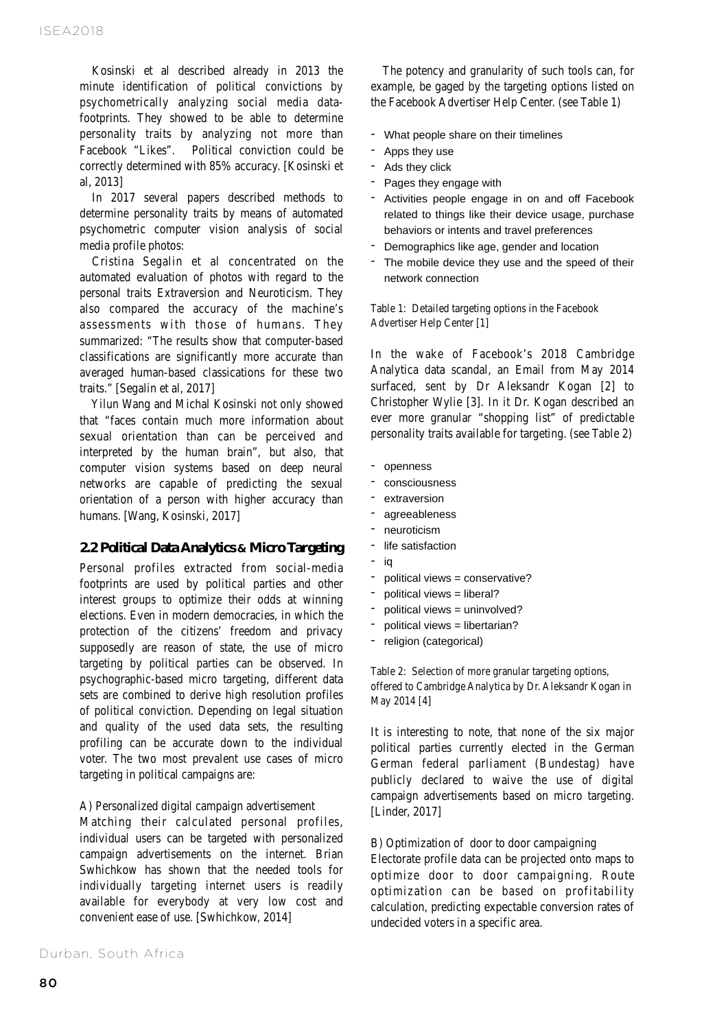Kosinski et al described already in 2013 the minute identification of political convictions by psychometrically analyzing social media datafootprints. They showed to be able to determine personality traits by analyzing not more than Facebook "Likes". Political conviction could be correctly determined with 85% accuracy. [Kosinski et al, 2013]

 In 2017 several papers described methods to determine personality traits by means of automated psychometric computer vision analysis of social media profile photos:

 Cristina Segalin et al concentrated on the automated evaluation of photos with regard to the personal traits Extraversion and Neuroticism. They also compared the accuracy of the machine's assessments with those of humans. They summarized: "The results show that computer-based classifications are significantly more accurate than averaged human-based classications for these two traits." [Segalin et al, 2017]

 Yilun Wang and Michal Kosinski not only showed that "faces contain much more information about sexual orientation than can be perceived and interpreted by the human brain", but also, that computer vision systems based on deep neural networks are capable of predicting the sexual orientation of a person with higher accuracy than humans. [Wang, Kosinski, 2017]

#### **2.2 Political Data Analytics & Micro Targeting**

Personal profiles extracted from social-media footprints are used by political parties and other interest groups to optimize their odds at winning elections. Even in modern democracies, in which the protection of the citizens' freedom and privacy supposedly are reason of state, the use of micro targeting by political parties can be observed. In psychographic-based micro targeting, different data sets are combined to derive high resolution profiles of political conviction. Depending on legal situation and quality of the used data sets, the resulting profiling can be accurate down to the individual voter. The two most prevalent use cases of micro targeting in political campaigns are:

A) Personalized digital campaign advertisement

Matching their calculated personal profiles, individual users can be targeted with personalized campaign advertisements on the internet. Brian Swhichkow has shown that the needed tools for individually targeting internet users is readily available for everybody at very low cost and convenient ease of use. [Swhichkow, 2014]

 The potency and granularity of such tools can, for example, be gaged by the targeting options listed on the Facebook Advertiser Help Center. (see Table 1)

- What people share on their timelines
- Apps they use
- Ads they click
- Pages they engage with
- Activities people engage in on and off Facebook related to things like their device usage, purchase behaviors or intents and travel preferences
- Demographics like age, gender and location
- The mobile device they use and the speed of their network connection

Table 1: Detailed targeting options in the Facebook Advertiser Help Center [1]

In the wake of Facebook's 2018 Cambridge Analytica data scandal, an Email from May 2014 surfaced, sent by Dr Aleksandr Kogan [2] to Christopher Wylie [3]. In it Dr. Kogan described an ever more granular "shopping list" of predictable personality traits available for targeting. (see Table 2)

- openness
- consciousness
- extraversion
- agreeableness
- neuroticism
- life satisfaction
- iq
- political views = conservative?
- political views = liberal?
- political views = uninvolved?
- political views = libertarian?
- religion (categorical)

Table 2: Selection of more granular targeting options, offered to Cambridge Analytica by Dr. Aleksandr Kogan in May 2014 [4]

It is interesting to note, that none of the six major political parties currently elected in the German German federal parliament (Bundestag) have publicly declared to waive the use of digital campaign advertisements based on micro targeting. [Linder, 2017]

#### B) Optimization of door to door campaigning

Electorate profile data can be projected onto maps to optimize door to door campaigning. Route optimization can be based on profitability calculation, predicting expectable conversion rates of undecided voters in a specific area.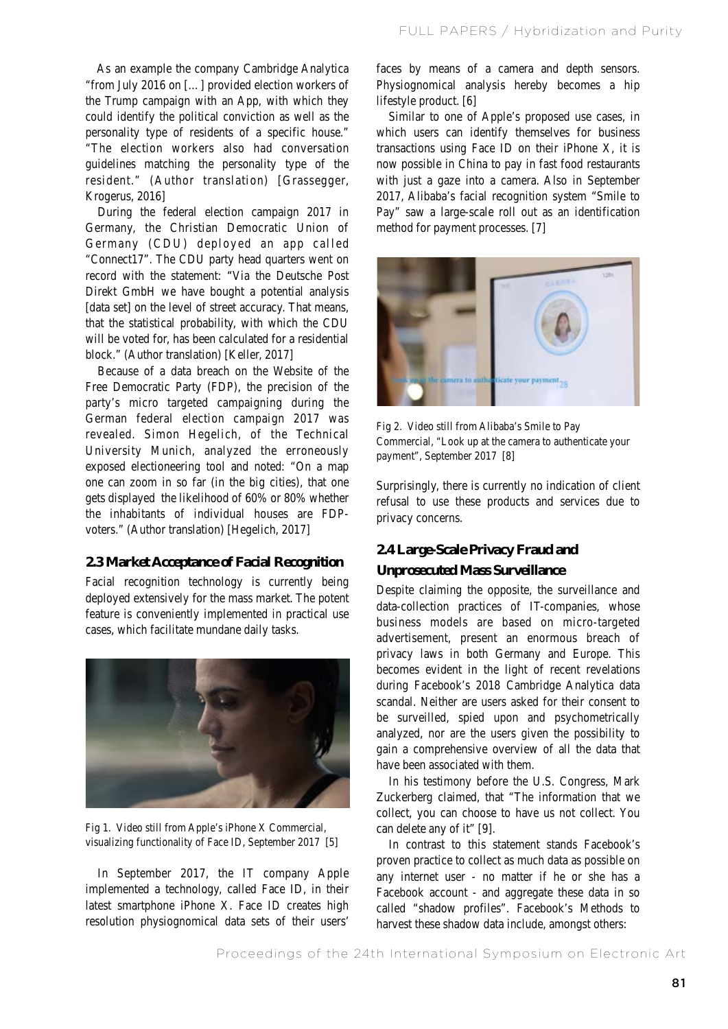As an example the company Cambridge Analytica "from July 2016 on […] provided election workers of the Trump campaign with an App, with which they could identify the political conviction as well as the personality type of residents of a specific house." "The election workers also had conversation guidelines matching the personality type of the resident." (Author translation) [Grassegger, Krogerus, 2016]

 During the federal election campaign 2017 in Germany, the Christian Democratic Union of Germany (CDU) deployed an app called "Connect17". The CDU party head quarters went on record with the statement: "Via the Deutsche Post Direkt GmbH we have bought a potential analysis [data set] on the level of street accuracy. That means, that the statistical probability, with which the CDU will be voted for, has been calculated for a residential block." (Author translation) [Keller, 2017]

 Because of a data breach on the Website of the Free Democratic Party (FDP), the precision of the party's micro targeted campaigning during the German federal election campaign 2017 was revealed. Simon Hegelich, of the Technical University Munich, analyzed the erroneously exposed electioneering tool and noted: "On a map one can zoom in so far (in the big cities), that one gets displayed the likelihood of 60% or 80% whether the inhabitants of individual houses are FDPvoters." (Author translation) [Hegelich, 2017]

# **2.3 Market Acceptance of Facial Recognition**

Facial recognition technology is currently being deployed extensively for the mass market. The potent feature is conveniently implemented in practical use cases, which facilitate mundane daily tasks.



Fig 1. Video still from Apple's iPhone X Commercial, visualizing functionality of Face ID, September 2017 [5]

 In September 2017, the IT company Apple implemented a technology, called Face ID, in their latest smartphone iPhone X. Face ID creates high resolution physiognomical data sets of their users'

faces by means of a camera and depth sensors. Physiognomical analysis hereby becomes a hip lifestyle product. [6]

 Similar to one of Apple's proposed use cases, in which users can identify themselves for business transactions using Face ID on their iPhone X, it is now possible in China to pay in fast food restaurants with just a gaze into a camera. Also in September 2017, Alibaba's facial recognition system "Smile to Pay" saw a large-scale roll out as an identification method for payment processes. [7]



Fig 2. Video still from Alibaba's Smile to Pay Commercial, "Look up at the camera to authenticate your payment", September 2017 [8]

Surprisingly, there is currently no indication of client refusal to use these products and services due to privacy concerns.

# **2.4 Large-Scale Privacy Fraud and**

#### **Unprosecuted Mass Surveillance**

Despite claiming the opposite, the surveillance and data-collection practices of IT-companies, whose business models are based on micro-targeted advertisement, present an enormous breach of privacy laws in both Germany and Europe. This becomes evident in the light of recent revelations during Facebook's 2018 Cambridge Analytica data scandal. Neither are users asked for their consent to be surveilled, spied upon and psychometrically analyzed, nor are the users given the possibility to gain a comprehensive overview of all the data that have been associated with them.

 In his testimony before the U.S. Congress, Mark Zuckerberg claimed, that "The information that we collect, you can choose to have us not collect. You can delete any of it" [9].

 In contrast to this statement stands Facebook's proven practice to collect as much data as possible on any internet user - no matter if he or she has a Facebook account - and aggregate these data in so called "shadow profiles". Facebook's Methods to harvest these shadow data include, amongst others: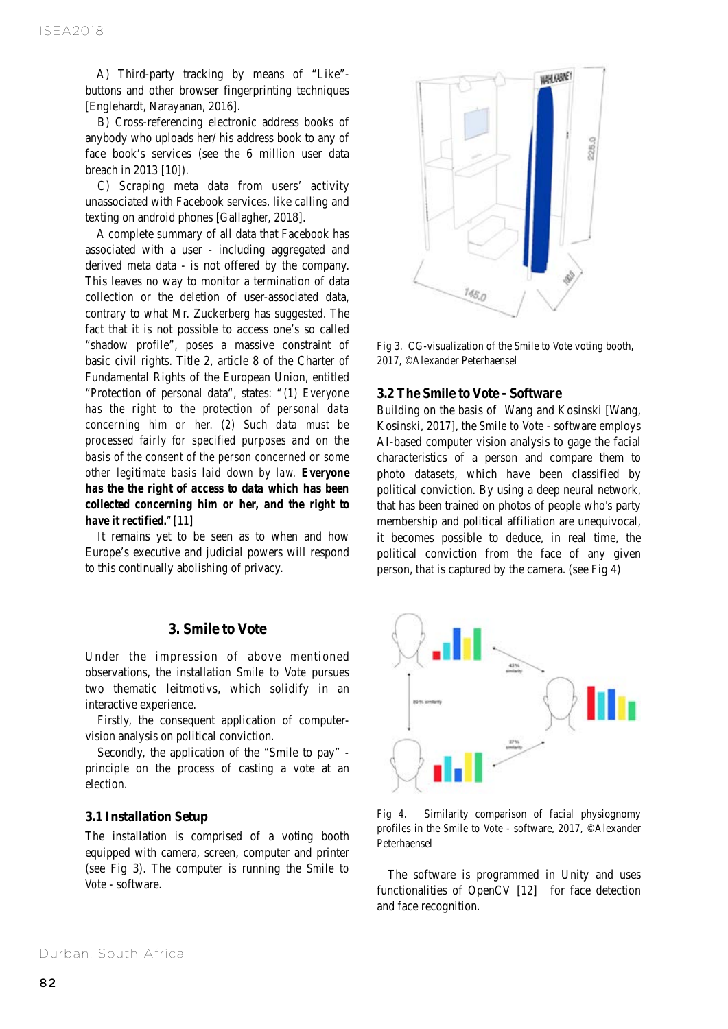A) Third-party tracking by means of "Like" buttons and other browser fingerprinting techniques [Englehardt, Narayanan, 2016].

 B) Cross-referencing electronic address books of anybody who uploads her/ his address book to any of face book's services (see the 6 million user data breach in 2013 [10]).

 C) Scraping meta data from users' activity unassociated with Facebook services, like calling and texting on android phones [Gallagher, 2018].

 A complete summary of all data that Facebook has associated with a user - including aggregated and derived meta data - is not offered by the company. This leaves no way to monitor a termination of data collection or the deletion of user-associated data, contrary to what Mr. Zuckerberg has suggested. The fact that it is not possible to access one's so called "shadow profile", poses a massive constraint of basic civil rights. Title 2, article 8 of the Charter of Fundamental Rights of the European Union, entitled "Protection of personal data", states: *"(1) Everyone has the right to the protection of personal data concerning him or her. (2) Such data must be processed fairly for specified purposes and on the basis of the consent of the person concerned or some other legitimate basis laid down by law. Everyone has the the right of access to data which has been collected concerning him or her, and the right to have it rectified."*[11]

 It remains yet to be seen as to when and how Europe's executive and judicial powers will respond to this continually abolishing of privacy.

## **3. Smile to Vote**

Under the impression of above mentioned observations, the installation *Smile to Vote* pursues two thematic leitmotivs, which solidify in an interactive experience.

 Firstly, the consequent application of computervision analysis on political conviction.

 Secondly, the application of the "Smile to pay" principle on the process of casting a vote at an election.

#### **3.1 Installation Setup**

The installation is comprised of a voting booth equipped with camera, screen, computer and printer (see Fig 3). The computer is running the *Smile to Vote* - software.



Fig 3. CG-visualization of the *Smile to Vote* voting booth, 2017, ©Alexander Peterhaensel

#### **3.2 The Smile to Vote - Software**

Building on the basis of Wang and Kosinski [Wang, Kosinski, 2017], the *Smile to Vote* - software employs AI-based computer vision analysis to gage the facial characteristics of a person and compare them to photo datasets, which have been classified by political conviction. By using a deep neural network, that has been trained on photos of people who's party membership and political affiliation are unequivocal, it becomes possible to deduce, in real time, the political conviction from the face of any given person, that is captured by the camera. (see Fig 4)



Fig 4. Similarity comparison of facial physiognomy profiles in the *Smile to Vote* - software, 2017, ©Alexander Peterhaensel

 The software is programmed in Unity and uses functionalities of OpenCV [12] for face detection and face recognition.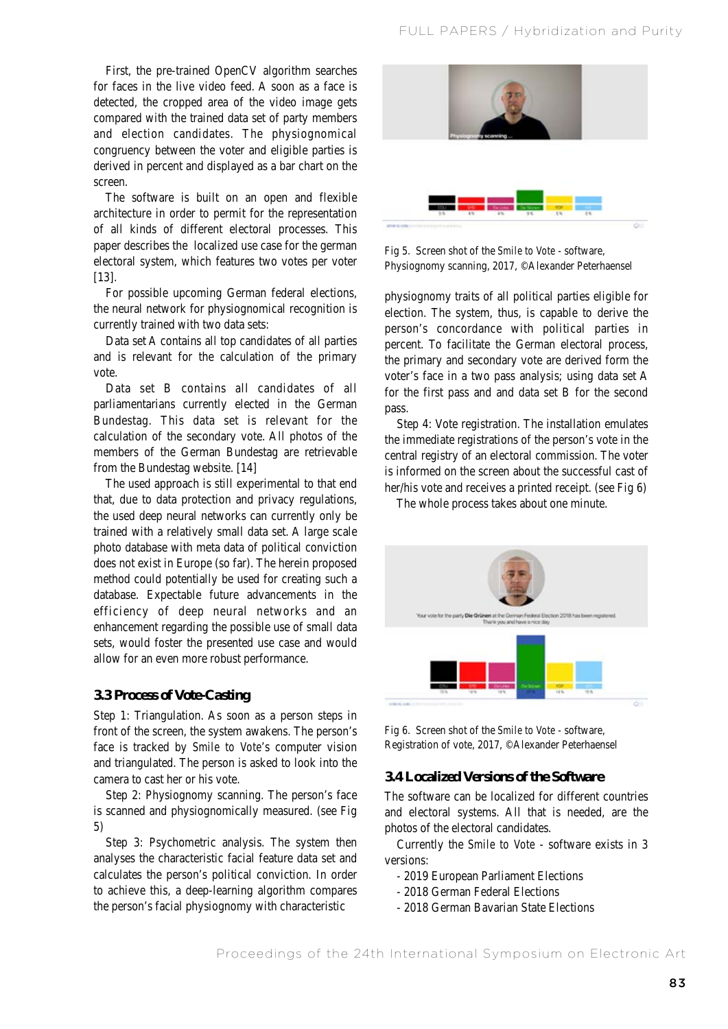First, the pre-trained OpenCV algorithm searches for faces in the live video feed. A soon as a face is detected, the cropped area of the video image gets compared with the trained data set of party members and election candidates. The physiognomical congruency between the voter and eligible parties is derived in percent and displayed as a bar chart on the screen.

 The software is built on an open and flexible architecture in order to permit for the representation of all kinds of different electoral processes. This paper describes the localized use case for the german electoral system, which features two votes per voter [13].

 For possible upcoming German federal elections, the neural network for physiognomical recognition is currently trained with two data sets:

 Data set A contains all top candidates of all parties and is relevant for the calculation of the primary vote.

 Data set B contains all candidates of all parliamentarians currently elected in the German Bundestag. This data set is relevant for the calculation of the secondary vote. All photos of the members of the German Bundestag are retrievable from the Bundestag website. [14]

 The used approach is still experimental to that end that, due to data protection and privacy regulations, the used deep neural networks can currently only be trained with a relatively small data set. A large scale photo database with meta data of political conviction does not exist in Europe (so far). The herein proposed method could potentially be used for creating such a database. Expectable future advancements in the efficiency of deep neural networks and an enhancement regarding the possible use of small data sets, would foster the presented use case and would allow for an even more robust performance.

#### **3.3 Process of Vote-Casting**

Step 1: Triangulation. As soon as a person steps in front of the screen, the system awakens. The person's face is tracked by *Smile to Vote*'s computer vision and triangulated. The person is asked to look into the camera to cast her or his vote.

 Step 2: Physiognomy scanning. The person's face is scanned and physiognomically measured. (see Fig 5)

 Step 3: Psychometric analysis. The system then analyses the characteristic facial feature data set and calculates the person's political conviction. In order to achieve this, a deep-learning algorithm compares the person's facial physiognomy with characteristic



Fig 5. Screen shot of the *Smile to Vote* - software, Physiognomy scanning, 2017, ©Alexander Peterhaensel

physiognomy traits of all political parties eligible for election. The system, thus, is capable to derive the person's concordance with political parties in percent. To facilitate the German electoral process, the primary and secondary vote are derived form the voter's face in a two pass analysis; using data set A for the first pass and and data set B for the second pass.

 Step 4: Vote registration. The installation emulates the immediate registrations of the person's vote in the central registry of an electoral commission. The voter is informed on the screen about the successful cast of her/his vote and receives a printed receipt. (see Fig 6)

The whole process takes about one minute.



Fig 6. Screen shot of the *Smile to Vote* - software, Registration of vote, 2017, ©Alexander Peterhaensel

# **3.4 Localized Versions of the Software**

The software can be localized for different countries and electoral systems. All that is needed, are the photos of the electoral candidates.

 Currently the *Smile to Vote* - software exists in 3 versions:

- 2019 European Parliament Elections
- 2018 German Federal Elections
- 2018 German Bavarian State Elections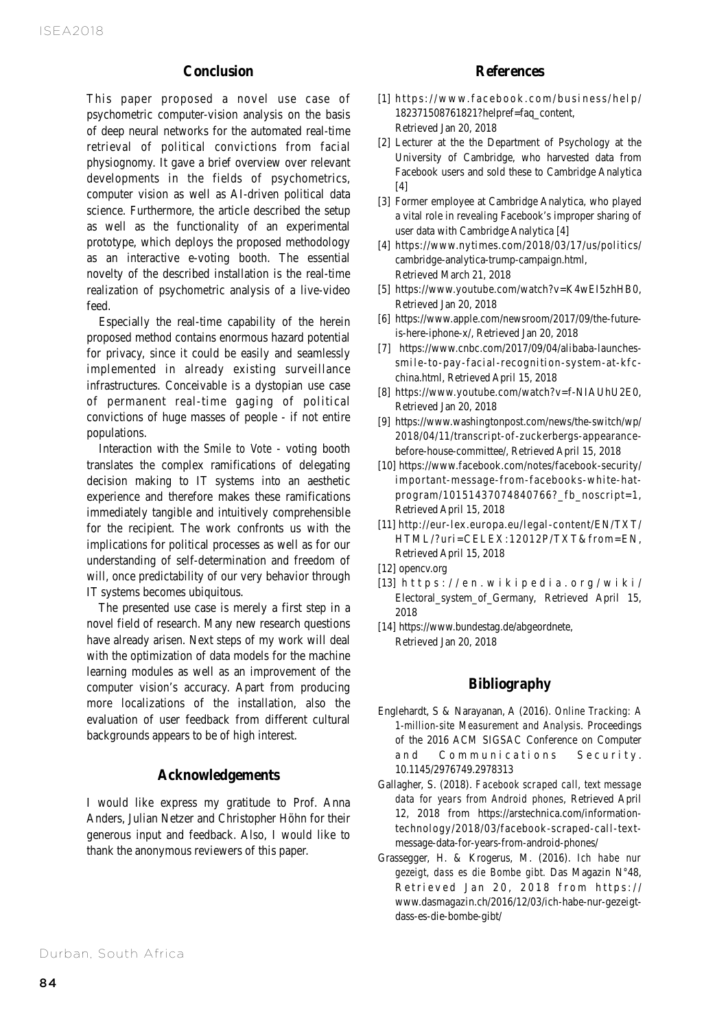# **Conclusion**

This paper proposed a novel use case of psychometric computer-vision analysis on the basis of deep neural networks for the automated real-time retrieval of political convictions from facial physiognomy. It gave a brief overview over relevant developments in the fields of psychometrics, computer vision as well as AI-driven political data science. Furthermore, the article described the setup as well as the functionality of an experimental prototype, which deploys the proposed methodology as an interactive e-voting booth. The essential novelty of the described installation is the real-time realization of psychometric analysis of a live-video feed.

 Especially the real-time capability of the herein proposed method contains enormous hazard potential for privacy, since it could be easily and seamlessly implemented in already existing surveillance infrastructures. Conceivable is a dystopian use case of permanent real-time gaging of political convictions of huge masses of people - if not entire populations.

 Interaction with the *Smile to Vote* - voting booth translates the complex ramifications of delegating decision making to IT systems into an aesthetic experience and therefore makes these ramifications immediately tangible and intuitively comprehensible for the recipient. The work confronts us with the implications for political processes as well as for our understanding of self-determination and freedom of will, once predictability of our very behavior through IT systems becomes ubiquitous.

 The presented use case is merely a first step in a novel field of research. Many new research questions have already arisen. Next steps of my work will deal with the optimization of data models for the machine learning modules as well as an improvement of the computer vision's accuracy. Apart from producing more localizations of the installation, also the evaluation of user feedback from different cultural backgrounds appears to be of high interest.

# **Acknowledgements**

I would like express my gratitude to Prof. Anna Anders, Julian Netzer and Christopher Höhn for their generous input and feedback. Also, I would like to thank the anonymous reviewers of this paper.

## **References**

- [1] https://www.facebook.com/business/help/ 182371508761821?helpref=faq\_content, Retrieved Jan 20, 2018
- [2] Lecturer at the the Department of Psychology at the University of Cambridge, who harvested data from Facebook users and sold these to Cambridge Analytica  $[4]$
- [3] Former employee at Cambridge Analytica, who played a vital role in revealing Facebook's improper sharing of user data with Cambridge Analytica [4]
- [4] https://www.nytimes.com/2018/03/17/us/politics/ cambridge-analytica-trump-campaign.html, Retrieved March 21, 2018
- [5] https://www.youtube.com/watch?v=K4wEI5zhHB0, Retrieved Jan 20, 2018
- [6] https://www.apple.com/newsroom/2017/09/the-futureis-here-iphone-x/, Retrieved Jan 20, 2018
- [7] https://www.cnbc.com/2017/09/04/alibaba-launchessmile-to-pay-facial-recognition-system-at-kfcchina.html, Retrieved April 15, 2018
- [8] https://www.youtube.com/watch?v=f-NIAUhU2E0, Retrieved Jan 20, 2018
- [9] https://www.washingtonpost.com/news/the-switch/wp/ 2018/04/11/transcript-of-zuckerbergs-appearancebefore-house-committee/, Retrieved April 15, 2018
- [10] https://www.facebook.com/notes/facebook-security/ important-message-from-facebooks-white-hatprogram/10151437074840766?\_fb\_noscript=1, Retrieved April 15, 2018
- [11] http://eur-lex.europa.eu/legal-content/EN/TXT/ HTML/?uri=CELEX:12012P/TXT&from=EN, Retrieved April 15, 2018
- [12] opencv.org
- [13] h t t p s : //e n . w i k i p e d i a . o r g / w i k i / Electoral\_system\_of\_Germany, Retrieved April 15, 2018
- [14] https://www.bundestag.de/abgeordnete, Retrieved Jan 20, 2018

## **Bibliography**

- Englehardt, S & Narayanan, A (2016). *Online Tracking: A 1-million-site Measurement and Analysis*. Proceedings of the 2016 ACM SIGSAC Conference on Computer and Communications Security. 10.1145/2976749.2978313
- Gallagher, S. (2018). *Facebook scraped call, text message data for years from Android phones*, Retrieved April 12, 2018 from https://arstechnica.com/informationtechnology/2018/03/facebook-scraped-call-textmessage-data-for-years-from-android-phones/
- Grassegger, H. & Krogerus, M. (2016). *Ich habe nur gezeigt, dass es die Bombe gibt.* Das Magazin N°48, Retrieved Jan 20, 2018 from https:// www.dasmagazin.ch/2016/12/03/ich-habe-nur-gezeigtdass-es-die-bombe-gibt/